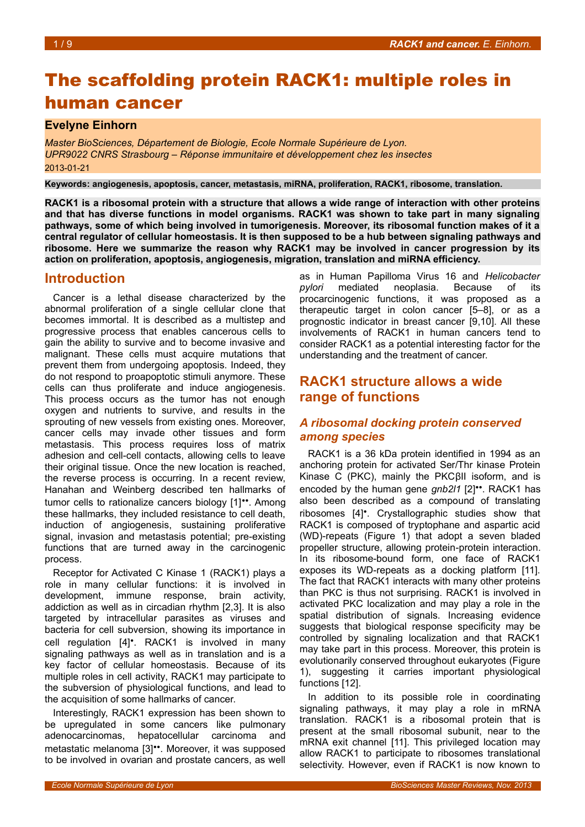# The scaffolding protein RACK1: multiple roles in human cancer

## **Evelyne Einhorn**

*Master BioSciences, Département de Biologie, Ecole Normale Supérieure de Lyon. UPR9022 CNRS Strasbourg – Réponse immunitaire et développement chez les insectes* 2013-01-21

**Keywords: angiogenesis, apoptosis, cancer, metastasis, miRNA, proliferation, RACK1, ribosome, translation.**

**RACK1 is a ribosomal protein with a structure that allows a wide range of interaction with other proteins and that has diverse functions in model organisms. RACK1 was shown to take part in many signaling pathways, some of which being involved in tumorigenesis. Moreover, its ribosomal function makes of it a central regulator of cellular homeostasis. It is then supposed to be a hub between signaling pathways and ribosome. Here we summarize the reason why RACK1 may be involved in cancer progression by its action on proliferation, apoptosis, angiogenesis, migration, translation and miRNA efficiency.**

# **Introduction**

Cancer is a lethal disease characterized by the abnormal proliferation of a single cellular clone that becomes immortal. It is described as a multistep and progressive process that enables cancerous cells to gain the ability to survive and to become invasive and malignant. These cells must acquire mutations that prevent them from undergoing apoptosis. Indeed, they do not respond to proapoptotic stimuli anymore. These cells can thus proliferate and induce angiogenesis. This process occurs as the tumor has not enough oxygen and nutrients to survive, and results in the sprouting of new vessels from existing ones. Moreover, cancer cells may invade other tissues and form metastasis. This process requires loss of matrix adhesion and cell-cell contacts, allowing cells to leave their original tissue. Once the new location is reached, the reverse process is occurring. In a recent review, Hanahan and Weinberg described ten hallmarks of tumor cells to rationalize cancers biology [1]••. Among these hallmarks, they included resistance to cell death, induction of angiogenesis, sustaining proliferative signal, invasion and metastasis potential; pre-existing functions that are turned away in the carcinogenic process.

Receptor for Activated C Kinase 1 (RACK1) plays a role in many cellular functions: it is involved in development, immune response, brain activity, addiction as well as in circadian rhythm [2,3]. It is also targeted by intracellular parasites as viruses and bacteria for cell subversion, showing its importance in cell regulation [4]•. RACK1 is involved in many signaling pathways as well as in translation and is a key factor of cellular homeostasis. Because of its multiple roles in cell activity, RACK1 may participate to the subversion of physiological functions, and lead to the acquisition of some hallmarks of cancer.

Interestingly, RACK1 expression has been shown to be upregulated in some cancers like pulmonary adenocarcinomas, hepatocellular carcinoma and metastatic melanoma [3]••. Moreover, it was supposed to be involved in ovarian and prostate cancers, as well

as in Human Papilloma Virus 16 and *Helicobacter pylori* mediated neoplasia. Because of its procarcinogenic functions, it was proposed as a therapeutic target in colon cancer [5–8], or as a prognostic indicator in breast cancer [9,10]. All these involvements of RACK1 in human cancers tend to consider RACK1 as a potential interesting factor for the understanding and the treatment of cancer.

# **RACK1 structure allows a wide range of functions**

# *A ribosomal docking protein conserved among species*

RACK1 is a 36 kDa protein identified in 1994 as an anchoring protein for activated Ser/Thr kinase Protein Kinase C (PKC), mainly the PKCβII isoform, and is encoded by the human gene *gnb2l1* [2]••. RACK1 has also been described as a compound of translating ribosomes [4]•. Crystallographic studies show that RACK1 is composed of tryptophane and aspartic acid (WD)-repeats (Figure [1\)](#page-1-0) that adopt a seven bladed propeller structure, allowing protein-protein interaction. In its ribosome-bound form, one face of RACK1 exposes its WD-repeats as a docking platform [11]. The fact that RACK1 interacts with many other proteins than PKC is thus not surprising. RACK1 is involved in activated PKC localization and may play a role in the spatial distribution of signals. Increasing evidence suggests that biological response specificity may be controlled by signaling localization and that RACK1 may take part in this process. Moreover, this protein is evolutionarily conserved throughout eukaryotes (Figure [1\)](#page-1-0), suggesting it carries important physiological functions [12].

In addition to its possible role in coordinating signaling pathways, it may play a role in mRNA translation. RACK1 is a ribosomal protein that is present at the small ribosomal subunit, near to the mRNA exit channel [11]. This privileged location may allow RACK1 to participate to ribosomes translational selectivity. However, even if RACK1 is now known to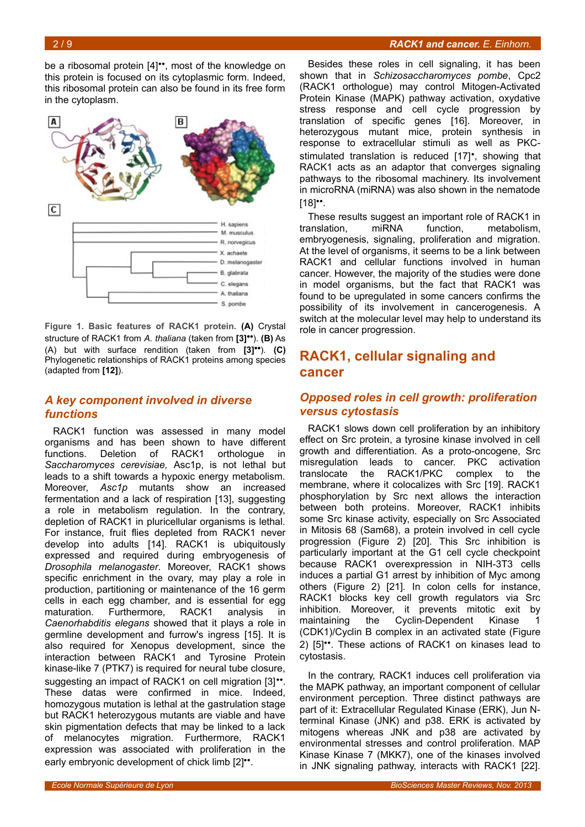be a ribosomal protein [4]••, most of the knowledge on this protein is focused on its cytoplasmic form. Indeed, this ribosomal protein can also be found in its free form in the cytoplasm.



<span id="page-1-0"></span>**Figure 1. Basic features of RACK1 protein. (A)** Crystal structure of RACK1 from *A. thaliana* (taken from **[3]••**). **(B)** As (A) but with surface rendition (taken from **[3]••**). **(C)** Phylogenetic relationships of RACK1 proteins among species (adapted from **[12]**).

# *A key component involved in diverse functions*

RACK1 function was assessed in many model organisms and has been shown to have different functions. Deletion of RACK1 orthologue in *Saccharomyces cerevisiae,* Asc1p, is not lethal but leads to a shift towards a hypoxic energy metabolism. Moreover, *Asc1p* mutants show an increased fermentation and a lack of respiration [13], suggesting a role in metabolism regulation. In the contrary, depletion of RACK1 in pluricellular organisms is lethal. For instance, fruit flies depleted from RACK1 never develop into adults [14]. RACK1 is ubiquitously expressed and required during embryogenesis of *Drosophila melanogaster*. Moreover, RACK1 shows specific enrichment in the ovary, may play a role in production, partitioning or maintenance of the 16 germ cells in each egg chamber, and is essential for egg maturation. Furthermore, RACK1 analysis in *Caenorhabditis elegans* showed that it plays a role in germline development and furrow's ingress [15]. It is also required for Xenopus development, since the interaction between RACK1 and Tyrosine Protein kinase-like 7 (PTK7) is required for neural tube closure, suggesting an impact of RACK1 on cell migration [3]<sup>••</sup>. These datas were confirmed in mice. Indeed, homozygous mutation is lethal at the gastrulation stage but RACK1 heterozygous mutants are viable and have skin pigmentation defects that may be linked to a lack of melanocytes migration. Furthermore, RACK1 expression was associated with proliferation in the early embryonic development of chick limb [2]<sup>\*\*</sup>.

### 2 / 9 *RACK1 and cancer. E. Einhorn.*

Besides these roles in cell signaling, it has been shown that in *Schizosaccharomyces pombe*, Cpc2 (RACK1 orthologue) may control Mitogen-Activated Protein Kinase (MAPK) pathway activation, oxydative stress response and cell cycle progression by translation of specific genes [16]. Moreover, in heterozygous mutant mice, protein synthesis in response to extracellular stimuli as well as PKCstimulated translation is reduced [17]•, showing that RACK1 acts as an adaptor that converges signaling pathways to the ribosomal machinery. Its involvement in microRNA (miRNA) was also shown in the nematode  $[18]$ <sup>\*</sup>.

These results suggest an important role of RACK1 in translation, miRNA function, metabolism, embryogenesis, signaling, proliferation and migration. At the level of organisms, it seems to be a link between RACK1 and cellular functions involved in human cancer. However, the majority of the studies were done in model organisms, but the fact that RACK1 was found to be upregulated in some cancers confirms the possibility of its involvement in cancerogenesis. A switch at the molecular level may help to understand its role in cancer progression.

# **RACK1, cellular signaling and cancer**

### *Opposed roles in cell growth: proliferation versus cytostasis*

RACK1 slows down cell proliferation by an inhibitory effect on Src protein, a tyrosine kinase involved in cell growth and differentiation. As a proto-oncogene, Src misregulation leads to cancer. PKC activation translocate the RACK1/PKC complex to the membrane, where it colocalizes with Src [19]. RACK1 phosphorylation by Src next allows the interaction between both proteins. Moreover, RACK1 inhibits some Src kinase activity, especially on Src Associated in Mitosis 68 (Sam68), a protein involved in cell cycle progression (Figure [2\)](#page-2-0) [20]. This Src inhibition is particularly important at the G1 cell cycle checkpoint because RACK1 overexpression in NIH-3T3 cells induces a partial G1 arrest by inhibition of Myc among others (Figure [2\)](#page-2-0) [21]. In colon cells for instance, RACK1 blocks key cell growth regulators via Src inhibition. Moreover, it prevents mitotic exit by maintaining the Cyclin-Dependent Kinase (CDK1)/Cyclin B complex in an activated state (Figure [2\)](#page-2-0) [5]••. These actions of RACK1 on kinases lead to cytostasis.

In the contrary, RACK1 induces cell proliferation via the MAPK pathway, an important component of cellular environment perception. Three distinct pathways are part of it: Extracellular Regulated Kinase (ERK), Jun Nterminal Kinase (JNK) and p38. ERK is activated by mitogens whereas JNK and p38 are activated by environmental stresses and control proliferation. MAP Kinase Kinase 7 (MKK7), one of the kinases involved in JNK signaling pathway, interacts with RACK1 [22].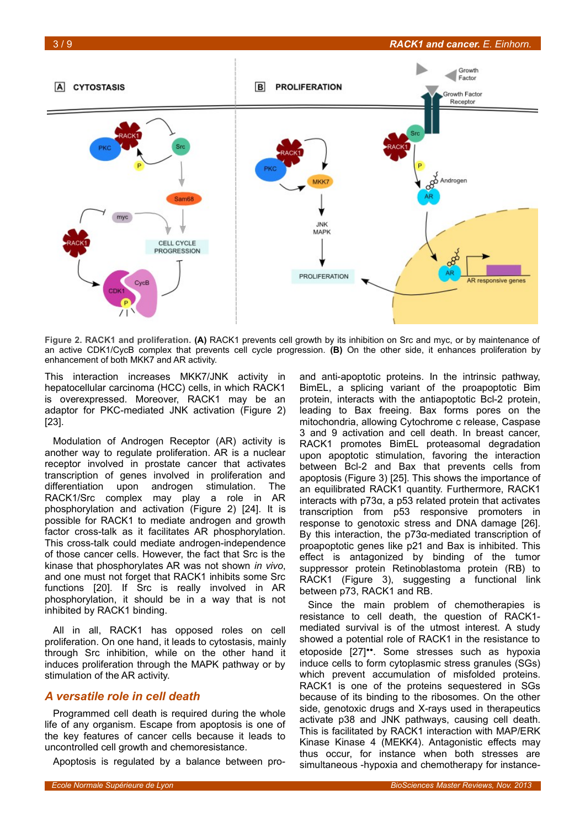

<span id="page-2-0"></span>**Figure 2. RACK1 and proliferation. (A)** RACK1 prevents cell growth by its inhibition on Src and myc, or by maintenance of an active CDK1/CycB complex that prevents cell cycle progression. **(B)** On the other side, it enhances proliferation by enhancement of both MKK7 and AR activity.

This interaction increases MKK7/JNK activity in hepatocellular carcinoma (HCC) cells, in which RACK1 is overexpressed. Moreover, RACK1 may be an adaptor for PKC-mediated JNK activation (Figure [2\)](#page-2-0) [23].

Modulation of Androgen Receptor (AR) activity is another way to regulate proliferation. AR is a nuclear receptor involved in prostate cancer that activates transcription of genes involved in proliferation and differentiation upon androgen stimulation. The RACK1/Src complex may play a role in AR phosphorylation and activation (Figure [2\)](#page-2-0) [24]. It is possible for RACK1 to mediate androgen and growth factor cross-talk as it facilitates AR phosphorylation. This cross-talk could mediate androgen-independence of those cancer cells. However, the fact that Src is the kinase that phosphorylates AR was not shown *in vivo*, and one must not forget that RACK1 inhibits some Src functions [20]. If Src is really involved in AR phosphorylation, it should be in a way that is not inhibited by RACK1 binding.

All in all, RACK1 has opposed roles on cell proliferation. On one hand, it leads to cytostasis, mainly through Src inhibition, while on the other hand it induces proliferation through the MAPK pathway or by stimulation of the AR activity.

### *A versatile role in cell death*

Programmed cell death is required during the whole life of any organism. Escape from apoptosis is one of the key features of cancer cells because it leads to uncontrolled cell growth and chemoresistance.

Apoptosis is regulated by a balance between pro-

and anti-apoptotic proteins. In the intrinsic pathway, BimEL, a splicing variant of the proapoptotic Bim protein, interacts with the antiapoptotic Bcl-2 protein, leading to Bax freeing. Bax forms pores on the mitochondria, allowing Cytochrome c release, Caspase 3 and 9 activation and cell death. In breast cancer, RACK1 promotes BimEL proteasomal degradation upon apoptotic stimulation, favoring the interaction between Bcl-2 and Bax that prevents cells from apoptosis (Figure [3\)](#page-3-0) [25]. This shows the importance of an equilibrated RACK1 quantity. Furthermore, RACK1 interacts with p73α, a p53 related protein that activates transcription from p53 responsive promoters in response to genotoxic stress and DNA damage [26]. By this interaction, the p73α-mediated transcription of proapoptotic genes like p21 and Bax is inhibited. This effect is antagonized by binding of the tumor suppressor protein Retinoblastoma protein (RB) to RACK1 (Figure [3\)](#page-3-0), suggesting a functional link between p73, RACK1 and RB.

Since the main problem of chemotherapies is resistance to cell death, the question of RACK1 mediated survival is of the utmost interest. A study showed a potential role of RACK1 in the resistance to etoposide [27]••. Some stresses such as hypoxia induce cells to form cytoplasmic stress granules (SGs) which prevent accumulation of misfolded proteins. RACK1 is one of the proteins sequestered in SGs because of its binding to the ribosomes. On the other side, genotoxic drugs and X-rays used in therapeutics activate p38 and JNK pathways, causing cell death. This is facilitated by RACK1 interaction with MAP/ERK Kinase Kinase 4 (MEKK4). Antagonistic effects may thus occur, for instance when both stresses are simultaneous -hypoxia and chemotherapy for instance-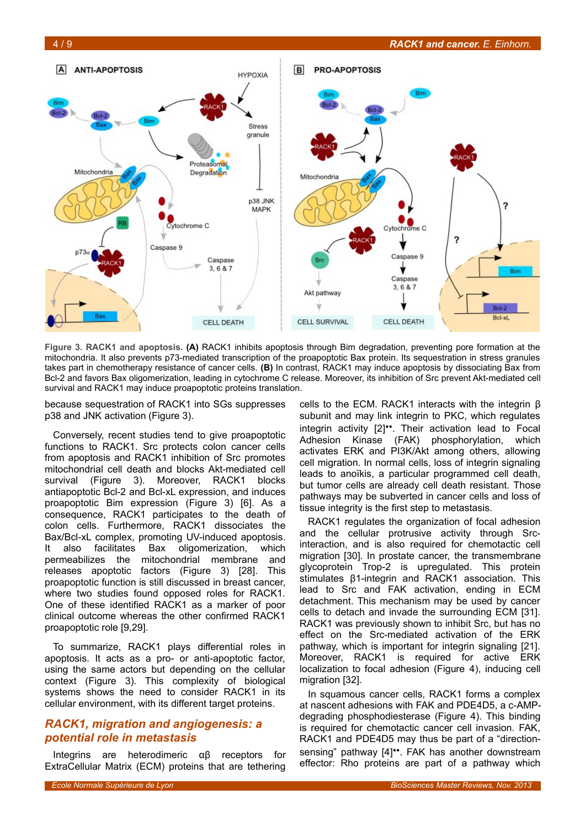

<span id="page-3-0"></span>**Figure 3. RACK1 and apoptosis. (A)** RACK1 inhibits apoptosis through Bim degradation, preventing pore formation at the mitochondria. It also prevents p73-mediated transcription of the proapoptotic Bax protein. Its sequestration in stress granules takes part in chemotherapy resistance of cancer cells. **(B)** In contrast, RACK1 may induce apoptosis by dissociating Bax from Bcl-2 and favors Bax oligomerization, leading in cytochrome C release. Moreover, its inhibition of Src prevent Akt-mediated cell survival and RACK1 may induce proapoptotic proteins translation.

because sequestration of RACK1 into SGs suppresses p38 and JNK activation (Figure [3\)](#page-3-0).

Conversely, recent studies tend to give proapoptotic functions to RACK1. Src protects colon cancer cells from apoptosis and RACK1 inhibition of Src promotes mitochondrial cell death and blocks Akt-mediated cell survival (Figure [3\)](#page-3-0). Moreover, RACK1 blocks antiapoptotic Bcl-2 and Bcl-xL expression, and induces proapoptotic Bim expression (Figure [3\)](#page-3-0) [6]. As a consequence, RACK1 participates to the death of colon cells. Furthermore, RACK1 dissociates the Bax/Bcl-xL complex, promoting UV-induced apoptosis. It also facilitates Bax oligomerization, which permeabilizes the mitochondrial membrane and releases apoptotic factors (Figure [3\)](#page-3-0) [28]. This proapoptotic function is still discussed in breast cancer, where two studies found opposed roles for RACK1. One of these identified RACK1 as a marker of poor clinical outcome whereas the other confirmed RACK1 proapoptotic role [9,29].

To summarize, RACK1 plays differential roles in apoptosis. It acts as a pro- or anti-apoptotic factor, using the same actors but depending on the cellular context (Figure [3\)](#page-3-0). This complexity of biological systems shows the need to consider RACK1 in its cellular environment, with its different target proteins.

## *RACK1, migration and angiogenesis: a potential role in metastasis*

Integrins are heterodimeric αβ receptors for ExtraCellular Matrix (ECM) proteins that are tethering

cells to the ECM. RACK1 interacts with the integrin β subunit and may link integrin to PKC, which regulates integrin activity [2]••. Their activation lead to Focal Adhesion Kinase (FAK) phosphorylation, which activates ERK and PI3K/Akt among others, allowing cell migration. In normal cells, loss of integrin signaling leads to anoïkis, a particular programmed cell death, but tumor cells are already cell death resistant. Those pathways may be subverted in cancer cells and loss of tissue integrity is the first step to metastasis.

RACK1 regulates the organization of focal adhesion and the cellular protrusive activity through Srcinteraction, and is also required for chemotactic cell migration [30]. In prostate cancer, the transmembrane glycoprotein Trop-2 is upregulated. This protein stimulates β1-integrin and RACK1 association. This lead to Src and FAK activation, ending in ECM detachment. This mechanism may be used by cancer cells to detach and invade the surrounding ECM [31]. RACK1 was previously shown to inhibit Src, but has no effect on the Src-mediated activation of the ERK pathway, which is important for integrin signaling [21]. Moreover, RACK1 is required for active ERK localization to focal adhesion (Figure [4\)](#page-4-0), inducing cell migration [32].

In squamous cancer cells, RACK1 forms a complex at nascent adhesions with FAK and PDE4D5, a c-AMPdegrading phosphodiesterase (Figure [4\)](#page-4-0). This binding is required for chemotactic cancer cell invasion. FAK, RACK1 and PDE4D5 may thus be part of a "directionsensing" pathway [4]<sup>\*\*</sup>. FAK has another downstream effector: Rho proteins are part of a pathway which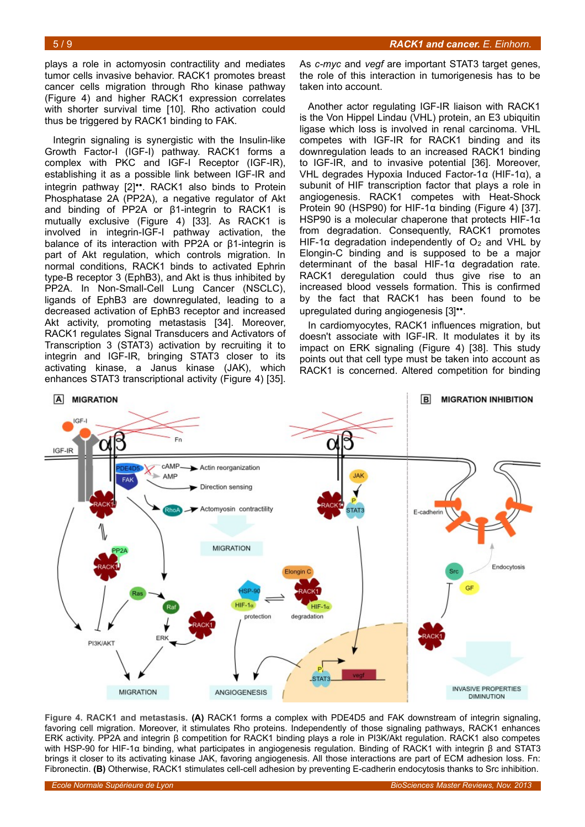plays a role in actomyosin contractility and mediates tumor cells invasive behavior. RACK1 promotes breast cancer cells migration through Rho kinase pathway (Figure [4\)](#page-4-0) and higher RACK1 expression correlates with shorter survival time [10]. Rho activation could thus be triggered by RACK1 binding to FAK.

Integrin signaling is synergistic with the Insulin-like Growth Factor-I (IGF-I) pathway. RACK1 forms a complex with PKC and IGF-I Receptor (IGF-IR), establishing it as a possible link between IGF-IR and integrin pathway [2]••. RACK1 also binds to Protein Phosphatase 2A (PP2A), a negative regulator of Akt and binding of PP2A or β1-integrin to RACK1 is mutually exclusive (Figure [4\)](#page-4-0) [33]. As RACK1 is involved in integrin-IGF-I pathway activation, the balance of its interaction with PP2A or β1-integrin is part of Akt regulation, which controls migration. In normal conditions, RACK1 binds to activated Ephrin type-B receptor 3 (EphB3), and Akt is thus inhibited by PP2A. In Non-Small-Cell Lung Cancer (NSCLC), ligands of EphB3 are downregulated, leading to a decreased activation of EphB3 receptor and increased Akt activity, promoting metastasis [34]. Moreover, RACK1 regulates Signal Transducers and Activators of Transcription 3 (STAT3) activation by recruiting it to integrin and IGF-IR, bringing STAT3 closer to its activating kinase, a Janus kinase (JAK), which enhances STAT3 transcriptional activity (Figure [4\)](#page-4-0) [35].

As *c-myc* and *vegf* are important STAT3 target genes, the role of this interaction in tumorigenesis has to be taken into account.

Another actor regulating IGF-IR liaison with RACK1 is the Von Hippel Lindau (VHL) protein, an E3 ubiquitin ligase which loss is involved in renal carcinoma. VHL competes with IGF-IR for RACK1 binding and its downregulation leads to an increased RACK1 binding to IGF-IR, and to invasive potential [36]. Moreover, VHL degrades Hypoxia Induced Factor-1α (HIF-1α), a subunit of HIF transcription factor that plays a role in angiogenesis. RACK1 competes with Heat-Shock Protein 90 (HSP90) for HIF-1 $\alpha$  binding (Figure [4\)](#page-4-0) [37]. HSP90 is a molecular chaperone that protects HIF-1α from degradation. Consequently, RACK1 promotes HIF-1 $\alpha$  degradation independently of  $O<sub>2</sub>$  and VHL by Elongin-C binding and is supposed to be a major determinant of the basal HIF-1α degradation rate. RACK1 deregulation could thus give rise to an increased blood vessels formation. This is confirmed by the fact that RACK1 has been found to be upregulated during angiogenesis [3]<sup>••</sup>.

In cardiomyocytes, RACK1 influences migration, but doesn't associate with IGF-IR. It modulates it by its impact on ERK signaling (Figure [4\)](#page-4-0) [38]. This study points out that cell type must be taken into account as RACK1 is concerned. Altered competition for binding



<span id="page-4-0"></span>**Figure 4. RACK1 and metastasis. (A)** RACK1 forms a complex with PDE4D5 and FAK downstream of integrin signaling, favoring cell migration. Moreover, it stimulates Rho proteins. Independently of those signaling pathways, RACK1 enhances ERK activity. PP2A and integrin β competition for RACK1 binding plays a role in PI3K/Akt regulation. RACK1 also competes with HSP-90 for HIF-1α binding, what participates in angiogenesis regulation. Binding of RACK1 with integrin β and STAT3 brings it closer to its activating kinase JAK, favoring angiogenesis. All those interactions are part of ECM adhesion loss. Fn: Fibronectin. **(B)** Otherwise, RACK1 stimulates cell-cell adhesion by preventing E-cadherin endocytosis thanks to Src inhibition.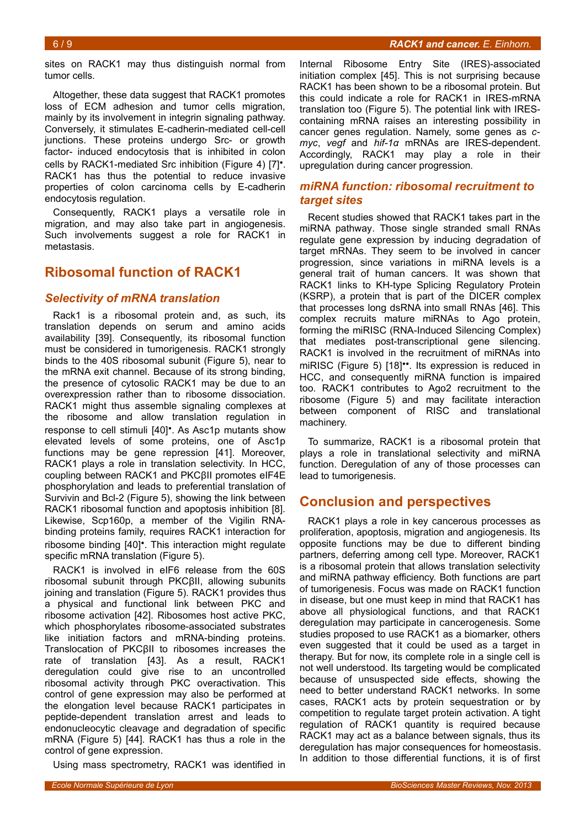sites on RACK1 may thus distinguish normal from tumor cells.

Altogether, these data suggest that RACK1 promotes loss of ECM adhesion and tumor cells migration, mainly by its involvement in integrin signaling pathway. Conversely, it stimulates E-cadherin-mediated cell-cell junctions. These proteins undergo Src- or growth factor- induced endocytosis that is inhibited in colon cells by RACK1-mediated Src inhibition (Figure [4\)](#page-4-0) [7]•. RACK1 has thus the potential to reduce invasive properties of colon carcinoma cells by E-cadherin endocytosis regulation.

Consequently, RACK1 plays a versatile role in migration, and may also take part in angiogenesis. Such involvements suggest a role for RACK1 in metastasis.

# **Ribosomal function of RACK1**

## *Selectivity of mRNA translation*

Rack1 is a ribosomal protein and, as such, its translation depends on serum and amino acids availability [39]. Consequently, its ribosomal function must be considered in tumorigenesis. RACK1 strongly binds to the 40S ribosomal subunit (Figure [5\)](#page-6-0), near to the mRNA exit channel. Because of its strong binding, the presence of cytosolic RACK1 may be due to an overexpression rather than to ribosome dissociation. RACK1 might thus assemble signaling complexes at the ribosome and allow translation regulation in response to cell stimuli [40]•. As Asc1p mutants show elevated levels of some proteins, one of Asc1p functions may be gene repression [41]. Moreover, RACK1 plays a role in translation selectivity. In HCC, coupling between RACK1 and PKCβII promotes eIF4E phosphorylation and leads to preferential translation of Survivin and Bcl-2 (Figure [5\)](#page-6-0), showing the link between RACK1 ribosomal function and apoptosis inhibition [8]. Likewise, Scp160p, a member of the Vigilin RNAbinding proteins family, requires RACK1 interaction for ribosome binding [40]•. This interaction might regulate specific mRNA translation (Figure [5\)](#page-6-0).

RACK1 is involved in eIF6 release from the 60S ribosomal subunit through PKCβII, allowing subunits joining and translation (Figure [5\)](#page-6-0). RACK1 provides thus a physical and functional link between PKC and ribosome activation [42]. Ribosomes host active PKC, which phosphorylates ribosome-associated substrates like initiation factors and mRNA-binding proteins. Translocation of PKCβII to ribosomes increases the rate of translation [43]. As a result, RACK1 deregulation could give rise to an uncontrolled ribosomal activity through PKC overactivation. This control of gene expression may also be performed at the elongation level because RACK1 participates in peptide-dependent translation arrest and leads to endonucleocytic cleavage and degradation of specific mRNA (Figure [5\)](#page-6-0) [44]. RACK1 has thus a role in the control of gene expression.

Using mass spectrometry, RACK1 was identified in

Internal Ribosome Entry Site (IRES)-associated initiation complex [45]. This is not surprising because RACK1 has been shown to be a ribosomal protein. But this could indicate a role for RACK1 in IRES-mRNA translation too (Figure [5\)](#page-6-0). The potential link with IREScontaining mRNA raises an interesting possibility in cancer genes regulation. Namely, some genes as *cmyc*, *vegf* and *hif-1α* mRNAs are IRES-dependent. Accordingly, RACK1 may play a role in their upregulation during cancer progression.

### *miRNA function: ribosomal recruitment to target sites*

Recent studies showed that RACK1 takes part in the miRNA pathway. Those single stranded small RNAs regulate gene expression by inducing degradation of target mRNAs. They seem to be involved in cancer progression, since variations in miRNA levels is a general trait of human cancers. It was shown that RACK1 links to KH-type Splicing Regulatory Protein (KSRP), a protein that is part of the DICER complex that processes long dsRNA into small RNAs [46]. This complex recruits mature miRNAs to Ago protein, forming the miRISC (RNA-Induced Silencing Complex) that mediates post-transcriptional gene silencing. RACK1 is involved in the recruitment of miRNAs into miRISC (Figure [5\)](#page-6-0) [18]••. Its expression is reduced in HCC, and consequently miRNA function is impaired too. RACK1 contributes to Ago2 recruitment to the ribosome (Figure [5\)](#page-6-0) and may facilitate interaction between component of RISC and translational machinery.

To summarize, RACK1 is a ribosomal protein that plays a role in translational selectivity and miRNA function. Deregulation of any of those processes can lead to tumorigenesis.

# **Conclusion and perspectives**

RACK1 plays a role in key cancerous processes as proliferation, apoptosis, migration and angiogenesis. Its opposite functions may be due to different binding partners, deferring among cell type. Moreover, RACK1 is a ribosomal protein that allows translation selectivity and miRNA pathway efficiency. Both functions are part of tumorigenesis. Focus was made on RACK1 function in disease, but one must keep in mind that RACK1 has above all physiological functions, and that RACK1 deregulation may participate in cancerogenesis. Some studies proposed to use RACK1 as a biomarker, others even suggested that it could be used as a target in therapy. But for now, its complete role in a single cell is not well understood. Its targeting would be complicated because of unsuspected side effects, showing the need to better understand RACK1 networks. In some cases, RACK1 acts by protein sequestration or by competition to regulate target protein activation. A tight regulation of RACK1 quantity is required because RACK1 may act as a balance between signals, thus its deregulation has major consequences for homeostasis. In addition to those differential functions, it is of first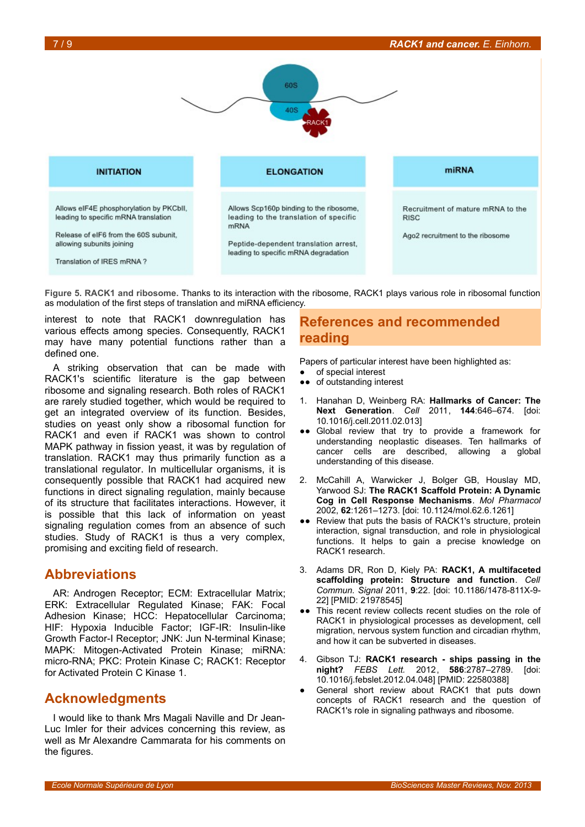



<span id="page-6-0"></span>**Figure 5. RACK1 and ribosome.** Thanks to its interaction with the ribosome, RACK1 plays various role in ribosomal function as modulation of the first steps of translation and miRNA efficiency.

interest to note that RACK1 downregulation has various effects among species. Consequently, RACK1 may have many potential functions rather than a defined one.

A striking observation that can be made with RACK1's scientific literature is the gap between ribosome and signaling research. Both roles of RACK1 are rarely studied together, which would be required to get an integrated overview of its function. Besides, studies on yeast only show a ribosomal function for RACK1 and even if RACK1 was shown to control MAPK pathway in fission yeast, it was by regulation of translation. RACK1 may thus primarily function as a translational regulator. In multicellular organisms, it is consequently possible that RACK1 had acquired new functions in direct signaling regulation, mainly because of its structure that facilitates interactions. However, it is possible that this lack of information on yeast signaling regulation comes from an absence of such studies. Study of RACK1 is thus a very complex, promising and exciting field of research.

# **Abbreviations**

AR: Androgen Receptor; ECM: Extracellular Matrix; ERK: Extracellular Regulated Kinase; FAK: Focal Adhesion Kinase; HCC: Hepatocellular Carcinoma; HIF: Hypoxia Inducible Factor; IGF-IR: Insulin-like Growth Factor-I Receptor; JNK: Jun N-terminal Kinase; MAPK: Mitogen-Activated Protein Kinase; miRNA: micro-RNA; PKC: Protein Kinase C; RACK1: Receptor for Activated Protein C Kinase 1.

# **Acknowledgments**

I would like to thank Mrs Magali Naville and Dr Jean-Luc Imler for their advices concerning this review, as well as Mr Alexandre Cammarata for his comments on the figures.

# **References and recommended reading**

Papers of particular interest have been highlighted as:

- of special interest
- ●● of outstanding interest
- 1. Hanahan D, Weinberg RA: **Hallmarks of Cancer: The Next Generation**. *Cell* 2011, **144**:646–674. [doi: 10.1016/j.cell.2011.02.013]
- ●● Global review that try to provide a framework for understanding neoplastic diseases. Ten hallmarks of cancer cells are described, allowing a global understanding of this disease.
- 2. McCahill A, Warwicker J, Bolger GB, Houslay MD, Yarwood SJ: **The RACK1 Scaffold Protein: A Dynamic Cog in Cell Response Mechanisms**. *Mol Pharmacol* 2002, **62**:1261–1273. [doi: 10.1124/mol.62.6.1261]
- ●● Review that puts the basis of RACK1's structure, protein interaction, signal transduction, and role in physiological functions. It helps to gain a precise knowledge on RACK1 research.
- 3. Adams DR, Ron D, Kiely PA: **RACK1, A multifaceted scaffolding protein: Structure and function**. *Cell Commun. Signal* 2011, **9**:22. [doi: 10.1186/1478-811X-9- 22] [PMID: 21978545]
- ●● This recent review collects recent studies on the role of RACK1 in physiological processes as development, cell migration, nervous system function and circadian rhythm, and how it can be subverted in diseases.
- 4. Gibson TJ: **RACK1 research ships passing in the night?** *FEBS Lett.* 2012, **586**:2787–2789. [doi: 10.1016/j.febslet.2012.04.048] [PMID: 22580388]
- General short review about RACK1 that puts down concepts of RACK1 research and the question of RACK1's role in signaling pathways and ribosome.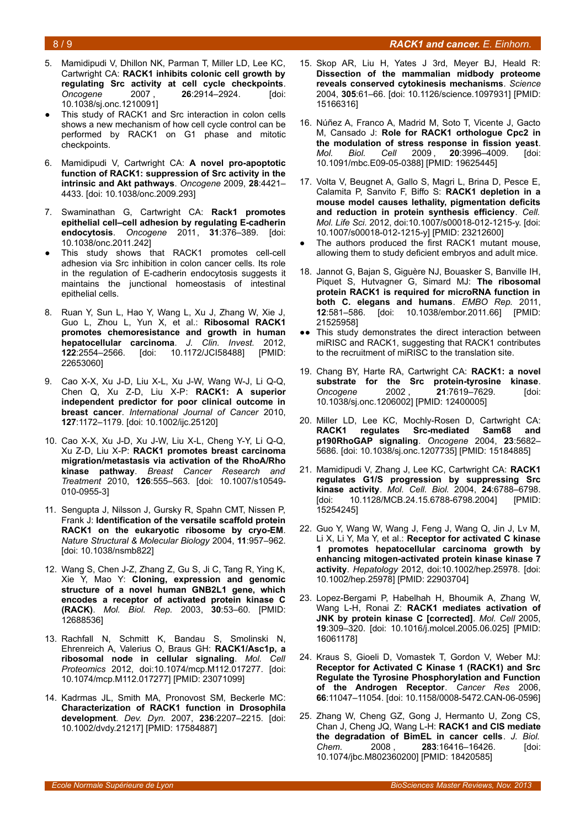### 8 / 9 *RACK1 and cancer. E. Einhorn.*

- 
- 5. Mamidipudi V, Dhillon NK, Parman T, Miller LD, Lee KC, Cartwright CA: **RACK1 inhibits colonic cell growth by regulating Src activity at cell cycle checkpoints**. *Oncogene* 2007 , **26**:2914–2924. [doi: 10.1038/sj.onc.1210091]
- This study of RACK1 and Src interaction in colon cells shows a new mechanism of how cell cycle control can be performed by RACK1 on G1 phase and mitotic checkpoints.
- 6. Mamidipudi V, Cartwright CA: **A novel pro-apoptotic function of RACK1: suppression of Src activity in the intrinsic and Akt pathways**. *Oncogene* 2009, **28**:4421– 4433. [doi: 10.1038/onc.2009.293]
- 7. Swaminathan G, Cartwright CA: **Rack1 promotes epithelial cell–cell adhesion by regulating E-cadherin endocytosis**. *Oncogene* 2011, **31**:376–389. [doi: 10.1038/onc.2011.242]
- This study shows that RACK1 promotes cell-cell adhesion via Src inhibition in colon cancer cells. Its role in the regulation of E-cadherin endocytosis suggests it maintains the junctional homeostasis of intestinal epithelial cells.
- 8. Ruan Y, Sun L, Hao Y, Wang L, Xu J, Zhang W, Xie J, Guo L, Zhou L, Yun X, et al.: **Ribosomal RACK1 promotes chemoresistance and growth in human hepatocellular carcinoma**. *J. Clin. Invest.* 2012, **122**:2554–2566. [doi: 10.1172/JCI58488] [PMID: 22653060]
- 9. Cao X-X, Xu J-D, Liu X-L, Xu J-W, Wang W-J, Li Q-Q, Chen Q, Xu Z-D, Liu X-P: **RACK1: A superior independent predictor for poor clinical outcome in breast cancer**. *International Journal of Cancer* 2010, **127**:1172–1179. [doi: 10.1002/ijc.25120]
- 10. Cao X-X, Xu J-D, Xu J-W, Liu X-L, Cheng Y-Y, Li Q-Q, Xu Z-D, Liu X-P: **RACK1 promotes breast carcinoma migration/metastasis via activation of the RhoA/Rho kinase pathway**. *Breast Cancer Research and Treatment* 2010, **126**:555–563. [doi: 10.1007/s10549- 010-0955-3]
- 11. Sengupta J, Nilsson J, Gursky R, Spahn CMT, Nissen P, Frank J: **Identification of the versatile scaffold protein RACK1 on the eukaryotic ribosome by cryo-EM**. *Nature Structural & Molecular Biology* 2004, **11**:957–962. [doi: 10.1038/nsmb822]
- 12. Wang S, Chen J-Z, Zhang Z, Gu S, Ji C, Tang R, Ying K, Xie Y, Mao Y: **Cloning, expression and genomic structure of a novel human GNB2L1 gene, which encodes a receptor of activated protein kinase C (RACK)**. *Mol. Biol. Rep.* 2003, **30**:53–60. [PMID: 12688536]
- 13. Rachfall N, Schmitt K, Bandau S, Smolinski N, Ehrenreich A, Valerius O, Braus GH: **RACK1/Asc1p, a ribosomal node in cellular signaling**. *Mol. Cell Proteomics* 2012, doi:10.1074/mcp.M112.017277. [doi: 10.1074/mcp.M112.017277] [PMID: 23071099]
- 14. Kadrmas JL, Smith MA, Pronovost SM, Beckerle MC: **Characterization of RACK1 function in Drosophila development**. *Dev. Dyn.* 2007, **236**:2207–2215. [doi: 10.1002/dvdy.21217] [PMID: 17584887]
- 15. Skop AR, Liu H, Yates J 3rd, Meyer BJ, Heald R: **Dissection of the mammalian midbody proteome reveals conserved cytokinesis mechanisms**. *Science* 2004, **305**:61–66. [doi: 10.1126/science.1097931] [PMID: 15166316]
- 16. Núñez A, Franco A, Madrid M, Soto T, Vicente J, Gacto M, Cansado J: **Role for RACK1 orthologue Cpc2 in the modulation of stress response in fission yeast**. *Mol. Biol. Cell* 2009 , **20**:3996–4009. [doi: 10.1091/mbc.E09-05-0388] [PMID: 19625445]
- 17. Volta V, Beugnet A, Gallo S, Magri L, Brina D, Pesce E, Calamita P, Sanvito F, Biffo S: **RACK1 depletion in a mouse model causes lethality, pigmentation deficits and reduction in protein synthesis efficiency**. *Cell. Mol. Life Sci.* 2012, doi:10.1007/s00018-012-1215-y. [doi: 10.1007/s00018-012-1215-y] [PMID: 23212600]
- The authors produced the first RACK1 mutant mouse, allowing them to study deficient embryos and adult mice.
- 18. Jannot G, Bajan S, Giguère NJ, Bouasker S, Banville IH, Piquet S, Hutvagner G, Simard MJ: **The ribosomal protein RACK1 is required for microRNA function in both C. elegans and humans**. *EMBO Rep.* 2011, **12**:581–586. [doi: 10.1038/embor.2011.66] [PMID: 21525958]
- ●● This study demonstrates the direct interaction between miRISC and RACK1, suggesting that RACK1 contributes to the recruitment of miRISC to the translation site.
- 19. Chang BY, Harte RA, Cartwright CA: **RACK1: a novel substrate for the Src protein-tyrosine kinase**. *Oncogene* 2002 , **21**:7619–7629. [doi: 10.1038/sj.onc.1206002] [PMID: 12400005]
- 20. Miller LD, Lee KC, Mochly-Rosen D, Cartwright CA:<br>**RACK1** regulates Src-mediated Sam68 and **RACK1 regulates Src-mediated Sam68 and p190RhoGAP signaling**. *Oncogene* 2004, **23**:5682– 5686. [doi: 10.1038/sj.onc.1207735] [PMID: 15184885]
- 21. Mamidipudi V, Zhang J, Lee KC, Cartwright CA: **RACK1 regulates G1/S progression by suppressing Src kinase activity**. *Mol. Cell. Biol.* 2004, **24**:6788–6798. [doi: 10.1128/MCB.24.15.6788-6798.2004] [PMID: 15254245]
- 22. Guo Y, Wang W, Wang J, Feng J, Wang Q, Jin J, Lv M, Li X, Li Y, Ma Y, et al.: **Receptor for activated C kinase 1 promotes hepatocellular carcinoma growth by enhancing mitogen-activated protein kinase kinase 7 activity**. *Hepatology* 2012, doi:10.1002/hep.25978. [doi: 10.1002/hep.25978] [PMID: 22903704]
- 23. Lopez-Bergami P, Habelhah H, Bhoumik A, Zhang W, Wang L-H, Ronai Z: **RACK1 mediates activation of JNK by protein kinase C [corrected]**. *Mol. Cell* 2005, **19**:309–320. [doi: 10.1016/j.molcel.2005.06.025] [PMID: 16061178]
- 24. Kraus S, Gioeli D, Vomastek T, Gordon V, Weber MJ: **Receptor for Activated C Kinase 1 (RACK1) and Src Regulate the Tyrosine Phosphorylation and Function of the Androgen Receptor**. *Cancer Res* 2006, **66**:11047–11054. [doi: 10.1158/0008-5472.CAN-06-0596]
- 25. Zhang W, Cheng GZ, Gong J, Hermanto U, Zong CS, Chan J, Cheng JQ, Wang L-H: **RACK1 and CIS mediate the degradation of BimEL in cancer cells**. *J. Biol. Chem.* 2008 , **283**:16416–16426. [doi: 10.1074/jbc.M802360200] [PMID: 18420585]